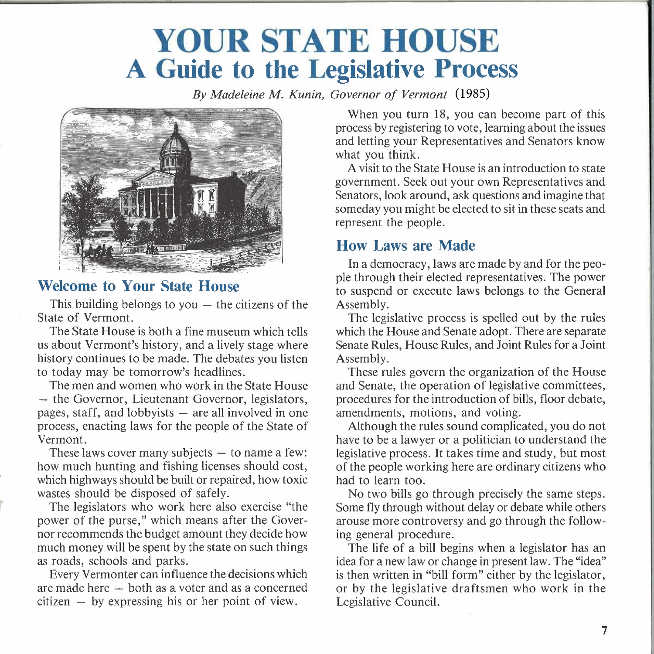# **YOUR STATE HOUSE A Guide to the Legislative Process**

*By Madeleine M. Kunin, Governor of Vermont*  (1985)



### **Welcome to Your State House**

This building belongs to you  $-$  the citizens of the State of Vermont.

The State House is both a fine museum which tells us about Vermont's history, and a lively stage where history continues to be made. The debates you listen to today may be tomorrow's headlines.

The men and women who work in the State House - the Governor, Lieutenant Governor, legislators, pages, staff, and lobbyists  $-$  are all involved in one process, enacting laws for the people of the State of Vermont.

These laws cover many subjects  $-$  to name a few: how much hunting and fishing licenses should cost, which highways should be built or repaired, how toxic wastes should be disposed of safely.

The legislators who work here also exercise "the power of the purse," which means after the Governor recommends the budget amount they decide how much money will be spent by the state on such things as roads, schools and parks.

Every Vermonter can influence the decisions which are made here - both as a voter and as a concerned  $citizen - by expressing his or her point of view.$ 

When you turn 18, you can become part of this process by registering to vote, learning about the issues and letting your Representatives and Senators know what you think.

A visit to the State House is an introduction to state government. Seek out your own Representatives and Senators, look around, ask questions and imagine that someday you might be elected to sit in these seats and represent the people.

## **How Laws are Made**

In a democracy, laws are made by and for the people through their elected representatives. The power to suspend or execute laws belongs to the General Assembly.

The legislative process is spelled out by the rules which the House and Senate adopt. There are separate Senate Rules, House Rules, and Joint Rules for a Joint Assembly.

These rules govern the organization of the House and Senate, the operation of legislative committees, procedures for the introduction of bills, floor debate, amendments, motions, and voting.

Although the rules sound complicated, you do not have to be a lawyer or a politician to understand the legislative process. It takes time and study, but most of the people working here are ordinary citizens who had to learn too.

No two bills go through precisely the same steps. Some fly through without delay or debate while others arouse more controversy and go through the following general procedure.

The life of a bill begins when a legislator has an idea for a new law or change in present law. The "idea" is then written in "bill form" either by the legislator, or by the legislative draftsmen who work in the Legislative Council.